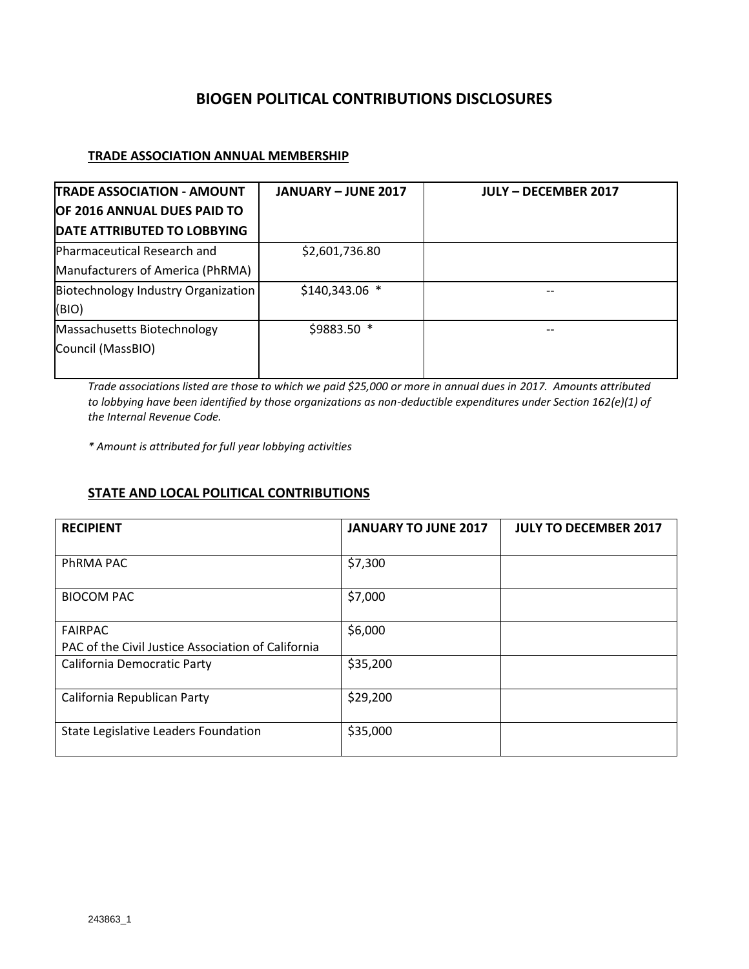## **BIOGEN POLITICAL CONTRIBUTIONS DISCLOSURES**

## **TRADE ASSOCIATION ANNUAL MEMBERSHIP**

| <b>TRADE ASSOCIATION - AMOUNT</b>   | <b>JANUARY - JUNE 2017</b> | <b>JULY - DECEMBER 2017</b> |
|-------------------------------------|----------------------------|-----------------------------|
| OF 2016 ANNUAL DUES PAID TO         |                            |                             |
| DATE ATTRIBUTED TO LOBBYING         |                            |                             |
| Pharmaceutical Research and         | \$2,601,736.80             |                             |
| Manufacturers of America (PhRMA)    |                            |                             |
| Biotechnology Industry Organization | \$140,343.06 *             |                             |
| (BIO)                               |                            |                             |
| Massachusetts Biotechnology         | \$9883.50 *                | $- -$                       |
| Council (MassBIO)                   |                            |                             |
|                                     |                            |                             |

*Trade associations listed are those to which we paid \$25,000 or more in annual dues in 2017. Amounts attributed to lobbying have been identified by those organizations as non-deductible expenditures under Section 162(e)(1) of the Internal Revenue Code.*

*\* Amount is attributed for full year lobbying activities*

## **STATE AND LOCAL POLITICAL CONTRIBUTIONS**

| <b>RECIPIENT</b>                                                     | <b>JANUARY TO JUNE 2017</b> | <b>JULY TO DECEMBER 2017</b> |
|----------------------------------------------------------------------|-----------------------------|------------------------------|
| PhRMA PAC                                                            | \$7,300                     |                              |
| <b>BIOCOM PAC</b>                                                    | \$7,000                     |                              |
| <b>FAIRPAC</b><br>PAC of the Civil Justice Association of California | \$6,000                     |                              |
| California Democratic Party                                          | \$35,200                    |                              |
| California Republican Party                                          | \$29,200                    |                              |
| State Legislative Leaders Foundation                                 | \$35,000                    |                              |